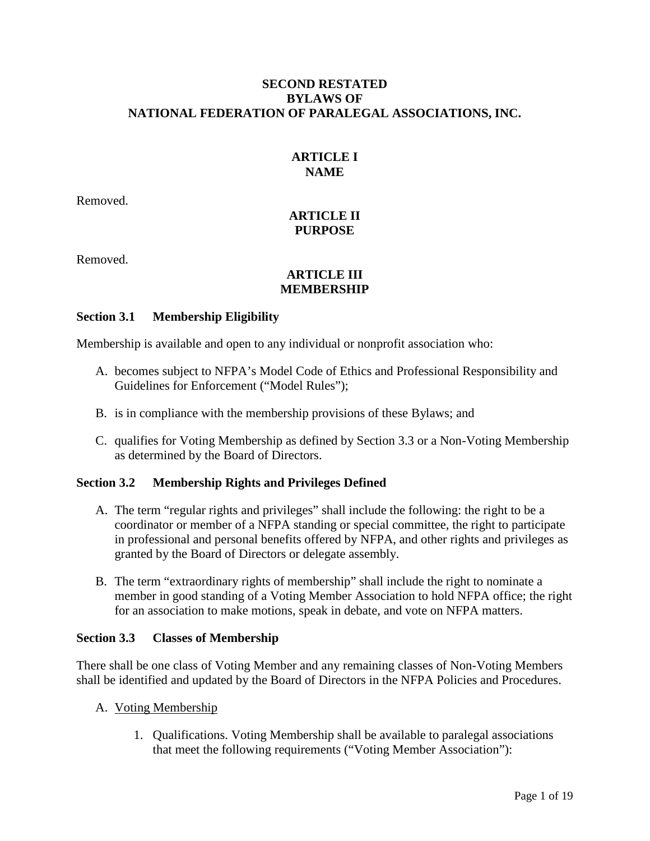### **SECOND RESTATED BYLAWS OF NATIONAL FEDERATION OF PARALEGAL ASSOCIATIONS, INC.**

## **ARTICLE I NAME**

Removed.

## **ARTICLE II PURPOSE**

Removed.

## **ARTICLE III MEMBERSHIP**

### **Section 3.1 Membership Eligibility**

Membership is available and open to any individual or nonprofit association who:

- A. becomes subject to NFPA's Model Code of Ethics and Professional Responsibility and Guidelines for Enforcement ("Model Rules");
- B. is in compliance with the membership provisions of these Bylaws; and
- C. qualifies for Voting Membership as defined by Section 3.3 or a Non-Voting Membership as determined by the Board of Directors.

## **Section 3.2 Membership Rights and Privileges Defined**

- A. The term "regular rights and privileges" shall include the following: the right to be a coordinator or member of a NFPA standing or special committee, the right to participate in professional and personal benefits offered by NFPA, and other rights and privileges as granted by the Board of Directors or delegate assembly.
- B. The term "extraordinary rights of membership" shall include the right to nominate a member in good standing of a Voting Member Association to hold NFPA office; the right for an association to make motions, speak in debate, and vote on NFPA matters.

### **Section 3.3 Classes of Membership**

There shall be one class of Voting Member and any remaining classes of Non-Voting Members shall be identified and updated by the Board of Directors in the NFPA Policies and Procedures.

- A. Voting Membership
	- 1. Qualifications. Voting Membership shall be available to paralegal associations that meet the following requirements ("Voting Member Association"):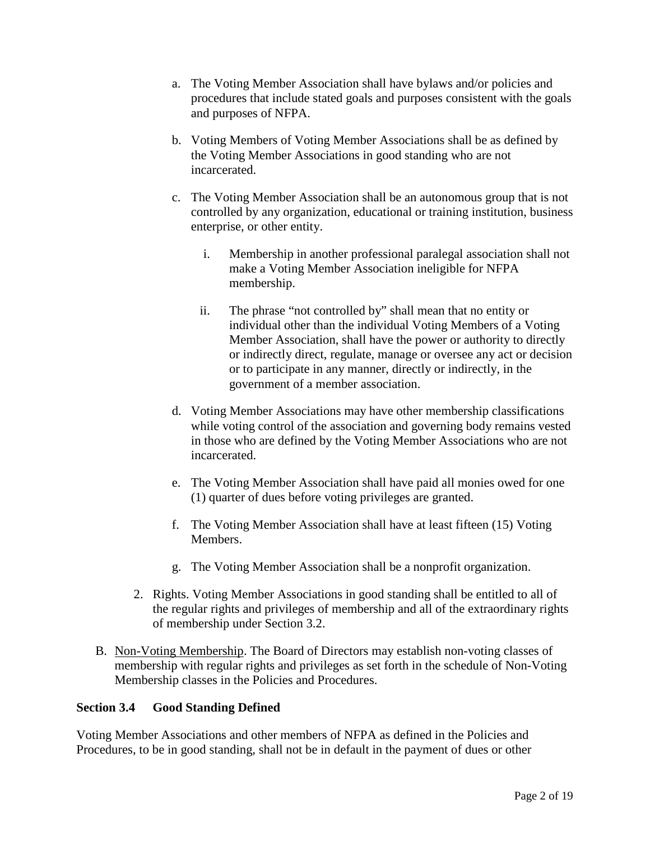- a. The Voting Member Association shall have bylaws and/or policies and procedures that include stated goals and purposes consistent with the goals and purposes of NFPA.
- b. Voting Members of Voting Member Associations shall be as defined by the Voting Member Associations in good standing who are not incarcerated.
- c. The Voting Member Association shall be an autonomous group that is not controlled by any organization, educational or training institution, business enterprise, or other entity.
	- i. Membership in another professional paralegal association shall not make a Voting Member Association ineligible for NFPA membership.
	- ii. The phrase "not controlled by" shall mean that no entity or individual other than the individual Voting Members of a Voting Member Association, shall have the power or authority to directly or indirectly direct, regulate, manage or oversee any act or decision or to participate in any manner, directly or indirectly, in the government of a member association.
- d. Voting Member Associations may have other membership classifications while voting control of the association and governing body remains vested in those who are defined by the Voting Member Associations who are not incarcerated.
- e. The Voting Member Association shall have paid all monies owed for one (1) quarter of dues before voting privileges are granted.
- f. The Voting Member Association shall have at least fifteen (15) Voting Members.
- g. The Voting Member Association shall be a nonprofit organization.
- 2. Rights. Voting Member Associations in good standing shall be entitled to all of the regular rights and privileges of membership and all of the extraordinary rights of membership under Section 3.2.
- B. Non-Voting Membership. The Board of Directors may establish non-voting classes of membership with regular rights and privileges as set forth in the schedule of Non-Voting Membership classes in the Policies and Procedures.

## **Section 3.4 Good Standing Defined**

Voting Member Associations and other members of NFPA as defined in the Policies and Procedures, to be in good standing, shall not be in default in the payment of dues or other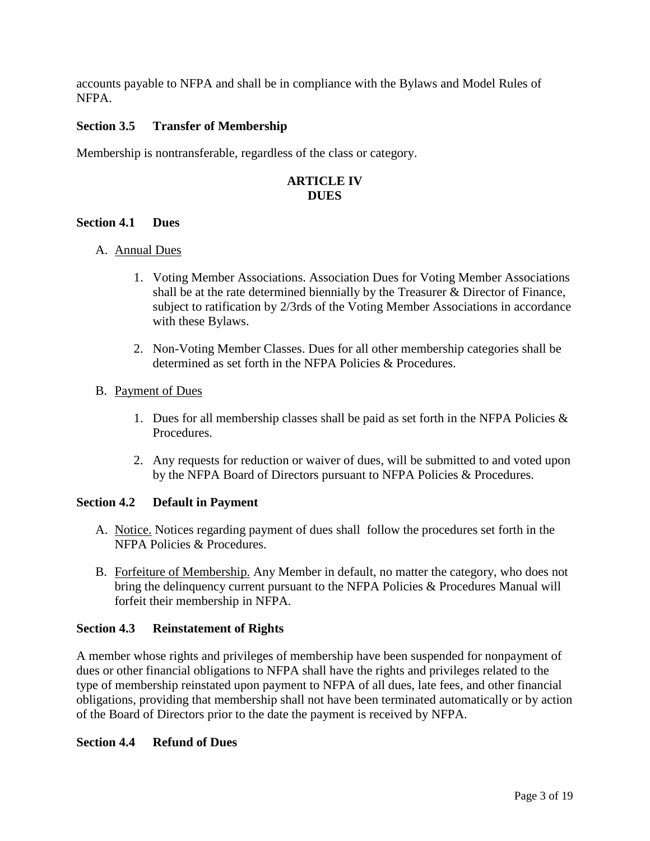accounts payable to NFPA and shall be in compliance with the Bylaws and Model Rules of NFPA.

## **Section 3.5 Transfer of Membership**

Membership is nontransferable, regardless of the class or category.

## **ARTICLE IV DUES**

#### **Section 4.1 Dues**

### A. **Annual Dues**

- 1. Voting Member Associations. Association Dues for Voting Member Associations shall be at the rate determined biennially by the Treasurer & Director of Finance, subject to ratification by 2/3rds of the Voting Member Associations in accordance with these Bylaws.
- 2. Non-Voting Member Classes. Dues for all other membership categories shall be determined as set forth in the NFPA Policies & Procedures.

#### B. Payment of Dues

- 1. Dues for all membership classes shall be paid as set forth in the NFPA Policies  $\&$ Procedures.
- 2. Any requests for reduction or waiver of dues, will be submitted to and voted upon by the NFPA Board of Directors pursuant to NFPA Policies & Procedures.

### **Section 4.2 Default in Payment**

- A. Notice. Notices regarding payment of dues shall follow the procedures set forth in the NFPA Policies & Procedures.
- B. Forfeiture of Membership. Any Member in default, no matter the category, who does not bring the delinquency current pursuant to the NFPA Policies & Procedures Manual will forfeit their membership in NFPA.

### **Section 4.3 Reinstatement of Rights**

A member whose rights and privileges of membership have been suspended for nonpayment of dues or other financial obligations to NFPA shall have the rights and privileges related to the type of membership reinstated upon payment to NFPA of all dues, late fees, and other financial obligations, providing that membership shall not have been terminated automatically or by action of the Board of Directors prior to the date the payment is received by NFPA.

### **Section 4.4 Refund of Dues**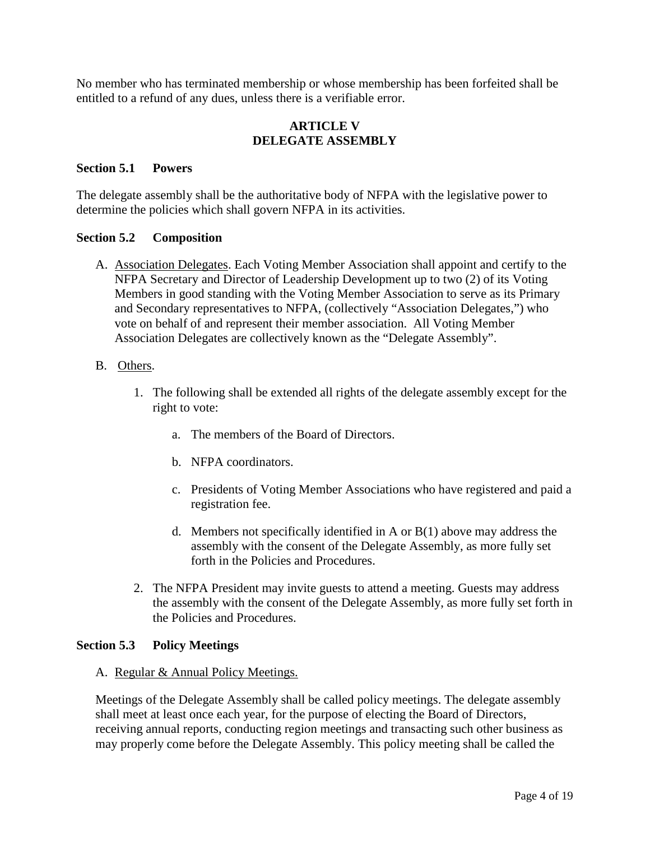No member who has terminated membership or whose membership has been forfeited shall be entitled to a refund of any dues, unless there is a verifiable error.

### **ARTICLE V DELEGATE ASSEMBLY**

### **Section 5.1 Powers**

The delegate assembly shall be the authoritative body of NFPA with the legislative power to determine the policies which shall govern NFPA in its activities.

### **Section 5.2 Composition**

- A. **Association Delegates**. Each Voting Member Association shall appoint and certify to the NFPA Secretary and Director of Leadership Development up to two (2) of its Voting Members in good standing with the Voting Member Association to serve as its Primary and Secondary representatives to NFPA, (collectively "Association Delegates,") who vote on behalf of and represent their member association. All Voting Member Association Delegates are collectively known as the "Delegate Assembly".
- B. Others.
	- 1. The following shall be extended all rights of the delegate assembly except for the right to vote:
		- a. The members of the Board of Directors.
		- b. NFPA coordinators.
		- c. Presidents of Voting Member Associations who have registered and paid a registration fee.
		- d. Members not specifically identified in A or B(1) above may address the assembly with the consent of the Delegate Assembly, as more fully set forth in the Policies and Procedures.
	- 2. The NFPA President may invite guests to attend a meeting. Guests may address the assembly with the consent of the Delegate Assembly, as more fully set forth in the Policies and Procedures.

### **Section 5.3 Policy Meetings**

#### A. Regular & Annual Policy Meetings.

Meetings of the Delegate Assembly shall be called policy meetings. The delegate assembly shall meet at least once each year, for the purpose of electing the Board of Directors, receiving annual reports, conducting region meetings and transacting such other business as may properly come before the Delegate Assembly. This policy meeting shall be called the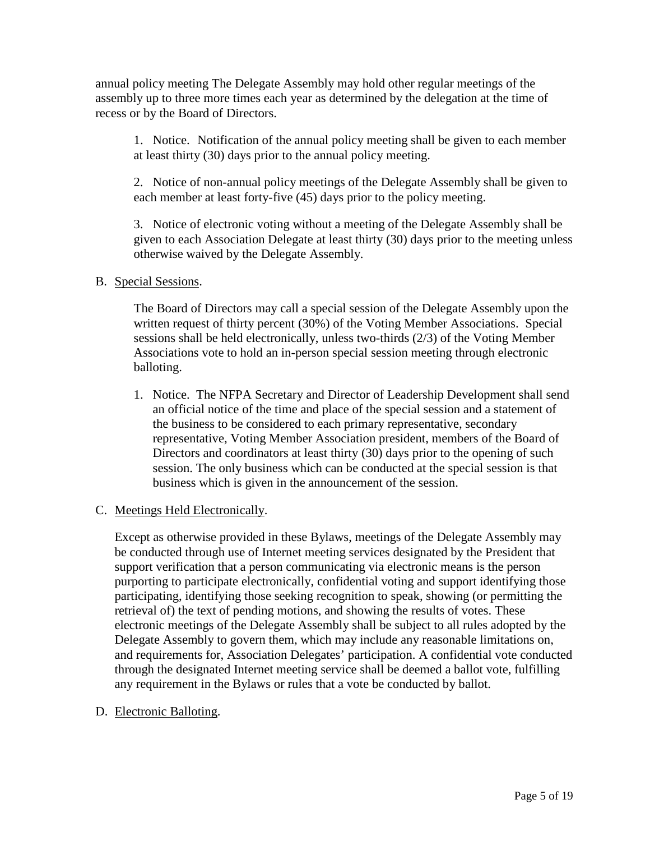annual policy meeting The Delegate Assembly may hold other regular meetings of the assembly up to three more times each year as determined by the delegation at the time of recess or by the Board of Directors.

1. Notice. Notification of the annual policy meeting shall be given to each member at least thirty (30) days prior to the annual policy meeting.

2. Notice of non-annual policy meetings of the Delegate Assembly shall be given to each member at least forty-five (45) days prior to the policy meeting.

3. Notice of electronic voting without a meeting of the Delegate Assembly shall be given to each Association Delegate at least thirty (30) days prior to the meeting unless otherwise waived by the Delegate Assembly.

# B. Special Sessions.

The Board of Directors may call a special session of the Delegate Assembly upon the written request of thirty percent (30%) of the Voting Member Associations. Special sessions shall be held electronically, unless two-thirds (2/3) of the Voting Member Associations vote to hold an in-person special session meeting through electronic balloting.

1. Notice. The NFPA Secretary and Director of Leadership Development shall send an official notice of the time and place of the special session and a statement of the business to be considered to each primary representative, secondary representative, Voting Member Association president, members of the Board of Directors and coordinators at least thirty (30) days prior to the opening of such session. The only business which can be conducted at the special session is that business which is given in the announcement of the session.

### C. Meetings Held Electronically.

Except as otherwise provided in these Bylaws, meetings of the Delegate Assembly may be conducted through use of Internet meeting services designated by the President that support verification that a person communicating via electronic means is the person purporting to participate electronically, confidential voting and support identifying those participating, identifying those seeking recognition to speak, showing (or permitting the retrieval of) the text of pending motions, and showing the results of votes. These electronic meetings of the Delegate Assembly shall be subject to all rules adopted by the Delegate Assembly to govern them, which may include any reasonable limitations on, and requirements for, Association Delegates' participation. A confidential vote conducted through the designated Internet meeting service shall be deemed a ballot vote, fulfilling any requirement in the Bylaws or rules that a vote be conducted by ballot.

## D. Electronic Balloting.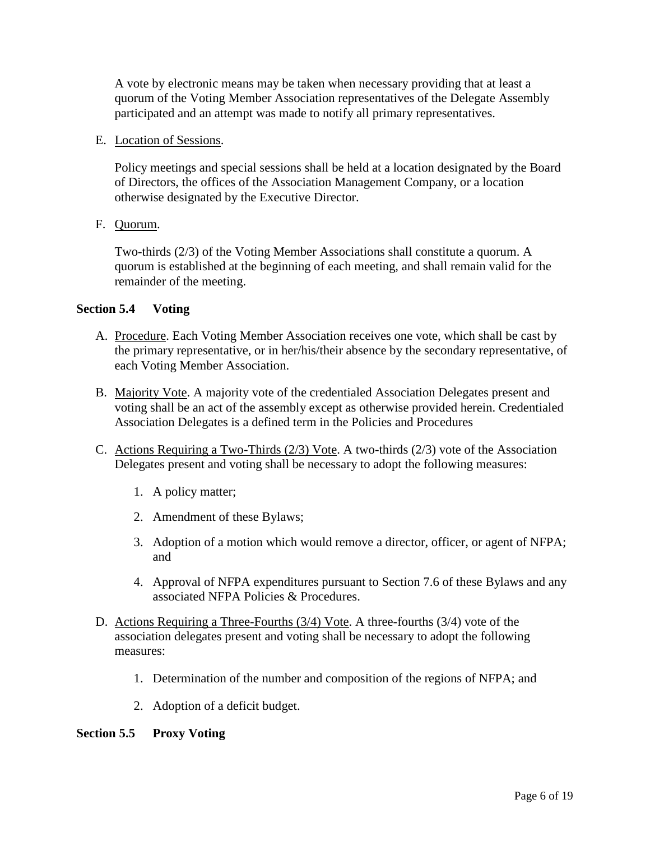A vote by electronic means may be taken when necessary providing that at least a quorum of the Voting Member Association representatives of the Delegate Assembly participated and an attempt was made to notify all primary representatives.

### E. Location of Sessions.

Policy meetings and special sessions shall be held at a location designated by the Board of Directors, the offices of the Association Management Company, or a location otherwise designated by the Executive Director.

## F. Quorum.

Two-thirds (2/3) of the Voting Member Associations shall constitute a quorum. A quorum is established at the beginning of each meeting, and shall remain valid for the remainder of the meeting.

### **Section 5.4 Voting**

- A. Procedure. Each Voting Member Association receives one vote, which shall be cast by the primary representative, or in her/his/their absence by the secondary representative, of each Voting Member Association.
- B. Majority Vote. A majority vote of the credentialed Association Delegates present and voting shall be an act of the assembly except as otherwise provided herein. Credentialed Association Delegates is a defined term in the Policies and Procedures
- C. Actions Requiring a Two-Thirds  $(2/3)$  Vote. A two-thirds  $(2/3)$  vote of the Association Delegates present and voting shall be necessary to adopt the following measures:
	- 1. A policy matter;
	- 2. Amendment of these Bylaws;
	- 3. Adoption of a motion which would remove a director, officer, or agent of NFPA; and
	- 4. Approval of NFPA expenditures pursuant to Section 7.6 of these Bylaws and any associated NFPA Policies & Procedures.
- D. Actions Requiring a Three-Fourths (3/4) Vote. A three-fourths (3/4) vote of the association delegates present and voting shall be necessary to adopt the following measures:
	- 1. Determination of the number and composition of the regions of NFPA; and
	- 2. Adoption of a deficit budget.

### **Section 5.5 Proxy Voting**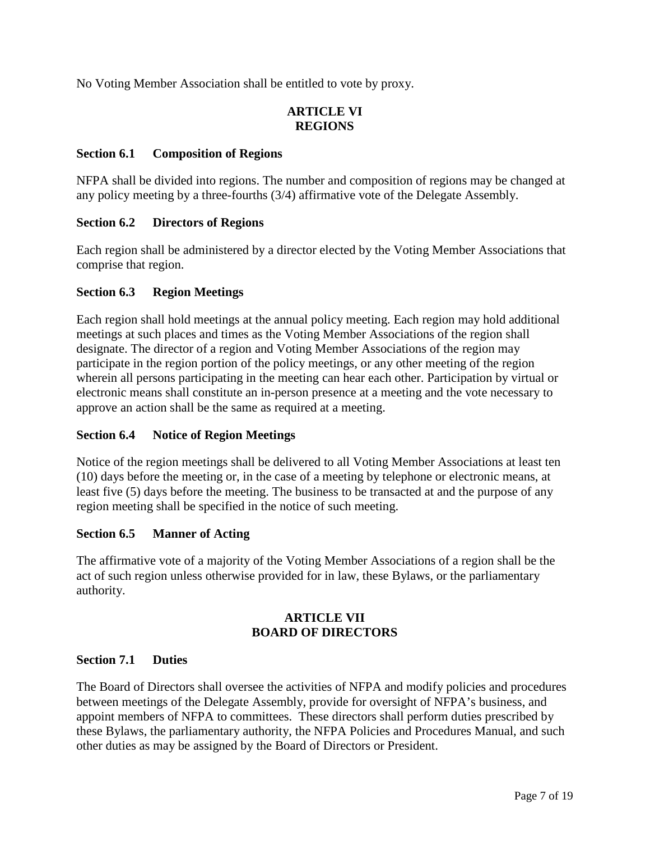No Voting Member Association shall be entitled to vote by proxy.

# **ARTICLE VI REGIONS**

### **Section 6.1 Composition of Regions**

NFPA shall be divided into regions. The number and composition of regions may be changed at any policy meeting by a three-fourths (3/4) affirmative vote of the Delegate Assembly.

### **Section 6.2 Directors of Regions**

Each region shall be administered by a director elected by the Voting Member Associations that comprise that region.

### **Section 6.3 Region Meetings**

Each region shall hold meetings at the annual policy meeting. Each region may hold additional meetings at such places and times as the Voting Member Associations of the region shall designate. The director of a region and Voting Member Associations of the region may participate in the region portion of the policy meetings, or any other meeting of the region wherein all persons participating in the meeting can hear each other. Participation by virtual or electronic means shall constitute an in-person presence at a meeting and the vote necessary to approve an action shall be the same as required at a meeting.

### **Section 6.4 Notice of Region Meetings**

Notice of the region meetings shall be delivered to all Voting Member Associations at least ten (10) days before the meeting or, in the case of a meeting by telephone or electronic means, at least five (5) days before the meeting. The business to be transacted at and the purpose of any region meeting shall be specified in the notice of such meeting.

### **Section 6.5 Manner of Acting**

The affirmative vote of a majority of the Voting Member Associations of a region shall be the act of such region unless otherwise provided for in law, these Bylaws, or the parliamentary authority.

### **ARTICLE VII BOARD OF DIRECTORS**

### **Section 7.1 Duties**

The Board of Directors shall oversee the activities of NFPA and modify policies and procedures between meetings of the Delegate Assembly, provide for oversight of NFPA's business, and appoint members of NFPA to committees. These directors shall perform duties prescribed by these Bylaws, the parliamentary authority, the NFPA Policies and Procedures Manual, and such other duties as may be assigned by the Board of Directors or President.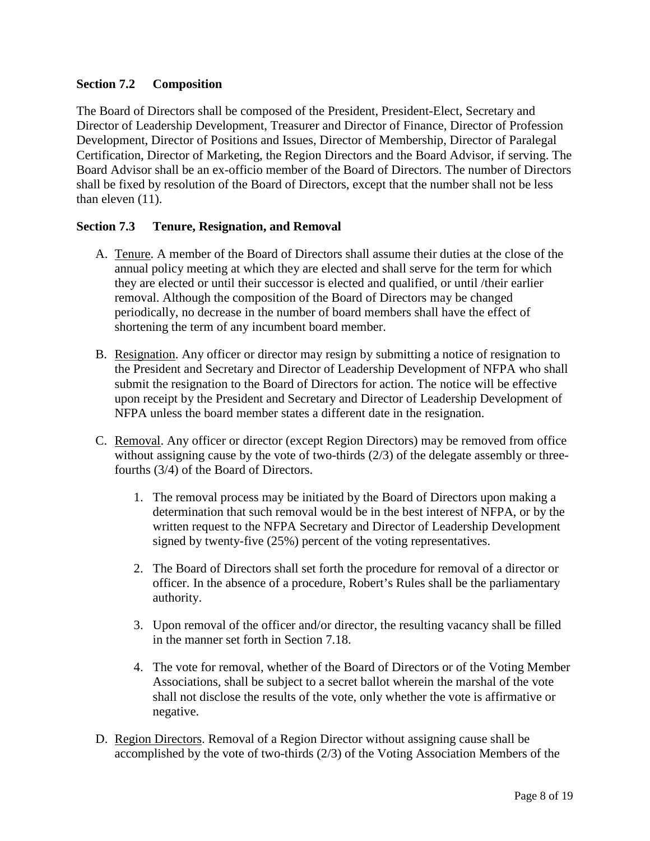# **Section 7.2 Composition**

The Board of Directors shall be composed of the President, President-Elect, Secretary and Director of Leadership Development, Treasurer and Director of Finance, Director of Profession Development, Director of Positions and Issues, Director of Membership, Director of Paralegal Certification, Director of Marketing, the Region Directors and the Board Advisor, if serving. The Board Advisor shall be an ex-officio member of the Board of Directors. The number of Directors shall be fixed by resolution of the Board of Directors, except that the number shall not be less than eleven (11).

### **Section 7.3 Tenure, Resignation, and Removal**

- A. Tenure . A member of the Board of Directors shall assume their duties at the close of the annual policy meeting at which they are elected and shall serve for the term for which they are elected or until their successor is elected and qualified, or until /their earlier removal. Although the composition of the Board of Directors may be changed periodically, no decrease in the number of board members shall have the effect of shortening the term of any incumbent board member.
- B. Resignation. Any officer or director may resign by submitting a notice of resignation to the President and Secretary and Director of Leadership Development of NFPA who shall submit the resignation to the Board of Directors for action. The notice will be effective upon receipt by the President and Secretary and Director of Leadership Development of NFPA unless the board member states a different date in the resignation.
- C. Removal. Any officer or director (except Region Directors) may be removed from office without assigning cause by the vote of two-thirds (2/3) of the delegate assembly or threefourths (3/4) of the Board of Directors.
	- 1. The removal process may be initiated by the Board of Directors upon making a determination that such removal would be in the best interest of NFPA, or by the written request to the NFPA Secretary and Director of Leadership Development signed by twenty-five (25%) percent of the voting representatives.
	- 2. The Board of Directors shall set forth the procedure for removal of a director or officer. In the absence of a procedure, Robert's Rules shall be the parliamentary authority.
	- 3. Upon removal of the officer and/or director, the resulting vacancy shall be filled in the manner set forth in Section 7.18.
	- 4. The vote for removal, whether of the Board of Directors or of the Voting Member Associations, shall be subject to a secret ballot wherein the marshal of the vote shall not disclose the results of the vote, only whether the vote is affirmative or negative.
- D. Region Directors. Removal of a Region Director without assigning cause shall be accomplished by the vote of two-thirds (2/3) of the Voting Association Members of the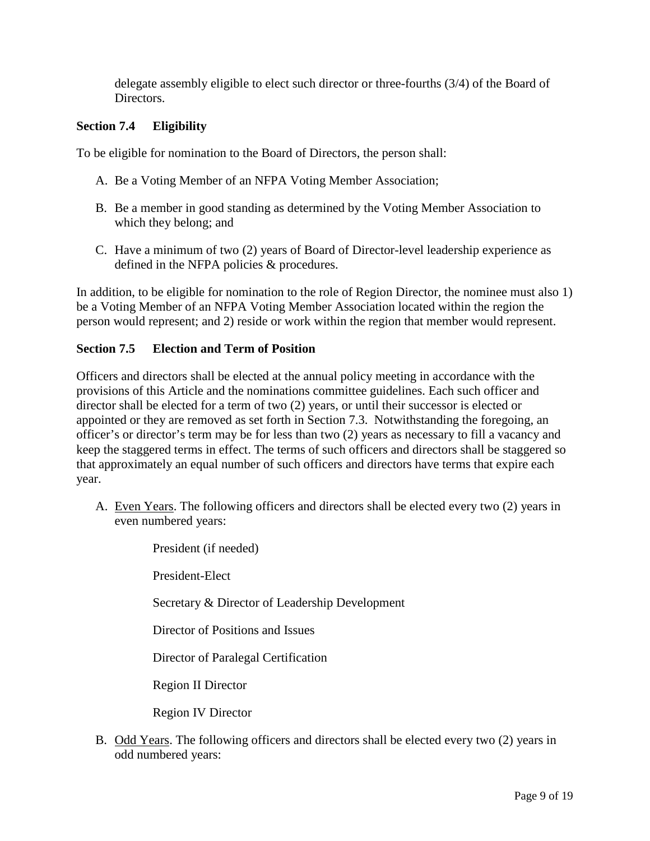delegate assembly eligible to elect such director or three-fourths (3/4) of the Board of Directors.

## **Section 7.4 Eligibility**

To be eligible for nomination to the Board of Directors, the person shall:

- A. Be a Voting Member of an NFPA Voting Member Association;
- B. Be a member in good standing as determined by the Voting Member Association to which they belong; and
- C. Have a minimum of two (2) years of Board of Director-level leadership experience as defined in the NFPA policies & procedures.

In addition, to be eligible for nomination to the role of Region Director, the nominee must also 1) be a Voting Member of an NFPA Voting Member Association located within the region the person would represent; and 2) reside or work within the region that member would represent.

### **Section 7.5 Election and Term of Position**

Officers and directors shall be elected at the annual policy meeting in accordance with the provisions of this Article and the nominations committee guidelines. Each such officer and director shall be elected for a term of two (2) years, or until their successor is elected or appointed or they are removed as set forth in Section 7.3. Notwithstanding the foregoing, an officer's or director's term may be for less than two (2) years as necessary to fill a vacancy and keep the staggered terms in effect. The terms of such officers and directors shall be staggered so that approximately an equal number of such officers and directors have terms that expire each year.

A. Even Years. The following officers and directors shall be elected every two (2) years in even numbered years:

> President (if needed) President-Elect Secretary & Director of Leadership Development Director of Positions and Issues Director of Paralegal Certification Region II Director Region IV Director

B. Odd Years. The following officers and directors shall be elected every two (2) years in odd numbered years: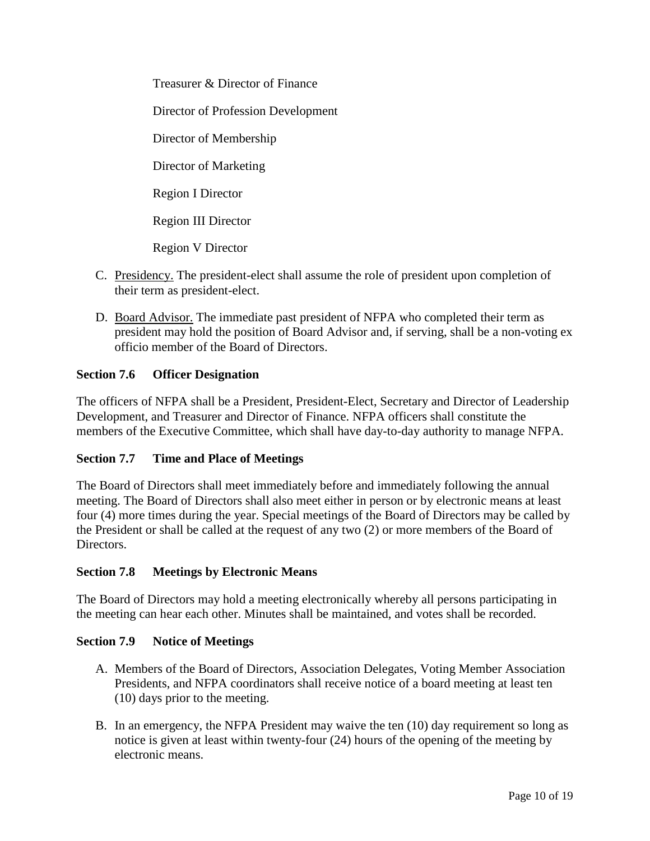Treasurer & Director of Finance Director of Profession Development Director of Membership Director of Marketing Region I Director Region III Director Region V Director

- C. Presidency. The president-elect shall assume the role of president upon completion of their term as president-elect.
- D. Board Advisor. The immediate past president of NFPA who completed their term as president may hold the position of Board Advisor and, if serving, shall be a non-voting ex officio member of the Board of Directors.

## **Section 7.6 Officer Designation**

The officers of NFPA shall be a President, President-Elect, Secretary and Director of Leadership Development, and Treasurer and Director of Finance. NFPA officers shall constitute the members of the Executive Committee, which shall have day-to-day authority to manage NFPA.

## **Section 7.7 Time and Place of Meetings**

The Board of Directors shall meet immediately before and immediately following the annual meeting. The Board of Directors shall also meet either in person or by electronic means at least four (4) more times during the year. Special meetings of the Board of Directors may be called by the President or shall be called at the request of any two (2) or more members of the Board of Directors.

## **Section 7.8 Meetings by Electronic Means**

The Board of Directors may hold a meeting electronically whereby all persons participating in the meeting can hear each other. Minutes shall be maintained, and votes shall be recorded.

### **Section 7.9 Notice of Meetings**

- A. Members of the Board of Directors, Association Delegates, Voting Member Association Presidents, and NFPA coordinators shall receive notice of a board meeting at least ten (10) days prior to the meeting.
- B. In an emergency, the NFPA President may waive the ten (10) day requirement so long as notice is given at least within twenty-four (24) hours of the opening of the meeting by electronic means.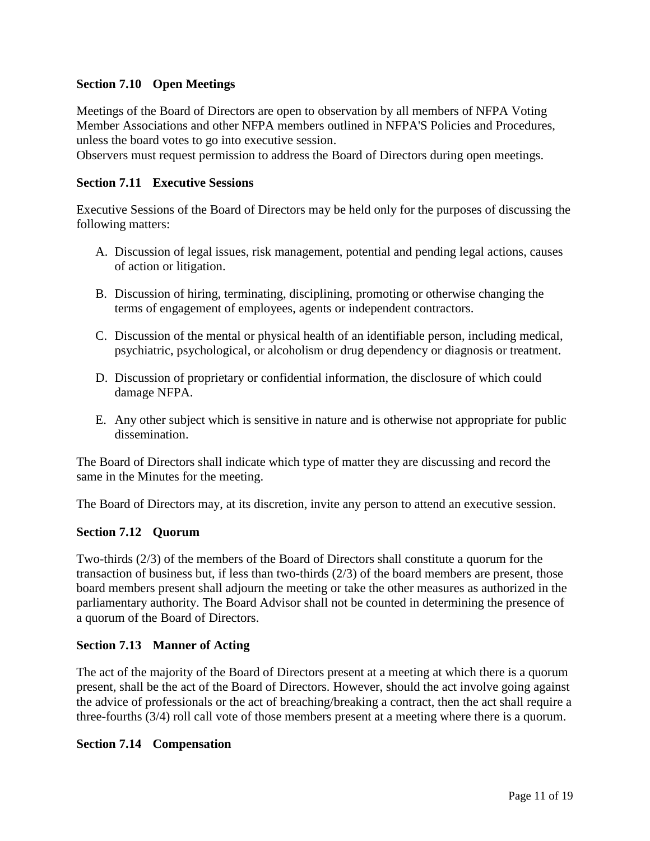## **Section 7.10 Open Meetings**

Meetings of the Board of Directors are open to observation by all members of NFPA Voting Member Associations and other NFPA members outlined in NFPA'S Policies and Procedures, unless the board votes to go into executive session.

Observers must request permission to address the Board of Directors during open meetings.

### **Section 7.11 Executive Sessions**

Executive Sessions of the Board of Directors may be held only for the purposes of discussing the following matters:

- A. Discussion of legal issues, risk management, potential and pending legal actions, causes of action or litigation.
- B. Discussion of hiring, terminating, disciplining, promoting or otherwise changing the terms of engagement of employees, agents or independent contractors.
- C. Discussion of the mental or physical health of an identifiable person, including medical, psychiatric, psychological, or alcoholism or drug dependency or diagnosis or treatment.
- D. Discussion of proprietary or confidential information, the disclosure of which could damage NFPA.
- E. Any other subject which is sensitive in nature and is otherwise not appropriate for public dissemination.

The Board of Directors shall indicate which type of matter they are discussing and record the same in the Minutes for the meeting.

The Board of Directors may, at its discretion, invite any person to attend an executive session.

### **Section 7.12 Quorum**

Two-thirds (2/3) of the members of the Board of Directors shall constitute a quorum for the transaction of business but, if less than two-thirds (2/3) of the board members are present, those board members present shall adjourn the meeting or take the other measures as authorized in the parliamentary authority. The Board Advisor shall not be counted in determining the presence of a quorum of the Board of Directors.

### **Section 7.13 Manner of Acting**

The act of the majority of the Board of Directors present at a meeting at which there is a quorum present, shall be the act of the Board of Directors. However, should the act involve going against the advice of professionals or the act of breaching/breaking a contract, then the act shall require a three-fourths (3/4) roll call vote of those members present at a meeting where there is a quorum.

### **Section 7.14 Compensation**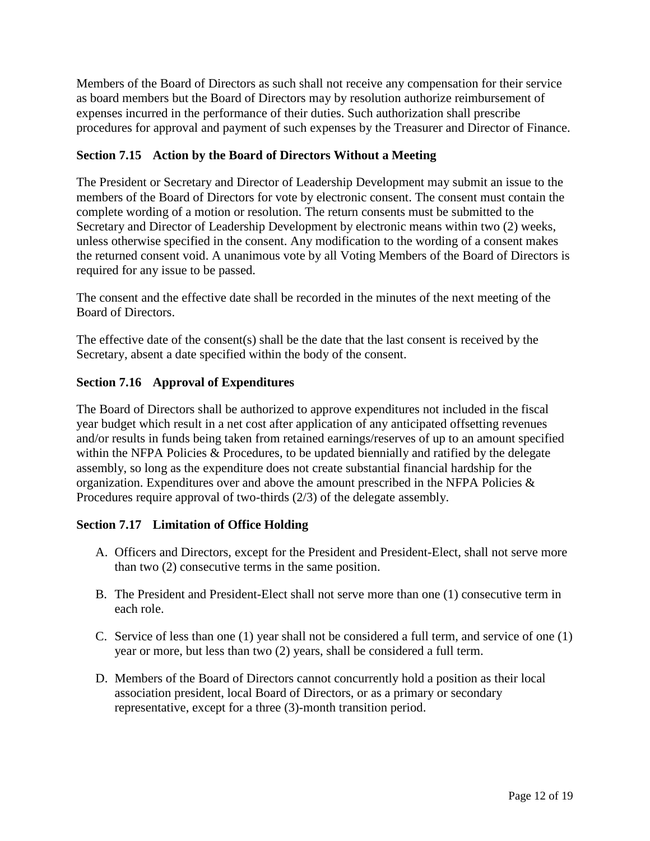Members of the Board of Directors as such shall not receive any compensation for their service as board members but the Board of Directors may by resolution authorize reimbursement of expenses incurred in the performance of their duties. Such authorization shall prescribe procedures for approval and payment of such expenses by the Treasurer and Director of Finance.

# **Section 7.15 Action by the Board of Directors Without a Meeting**

The President or Secretary and Director of Leadership Development may submit an issue to the members of the Board of Directors for vote by electronic consent. The consent must contain the complete wording of a motion or resolution. The return consents must be submitted to the Secretary and Director of Leadership Development by electronic means within two (2) weeks, unless otherwise specified in the consent. Any modification to the wording of a consent makes the returned consent void. A unanimous vote by all Voting Members of the Board of Directors is required for any issue to be passed.

The consent and the effective date shall be recorded in the minutes of the next meeting of the Board of Directors.

The effective date of the consent(s) shall be the date that the last consent is received by the Secretary, absent a date specified within the body of the consent.

## **Section 7.16 Approval of Expenditures**

The Board of Directors shall be authorized to approve expenditures not included in the fiscal year budget which result in a net cost after application of any anticipated offsetting revenues and/or results in funds being taken from retained earnings/reserves of up to an amount specified within the NFPA Policies & Procedures, to be updated biennially and ratified by the delegate assembly, so long as the expenditure does not create substantial financial hardship for the organization. Expenditures over and above the amount prescribed in the NFPA Policies & Procedures require approval of two-thirds (2/3) of the delegate assembly.

## **Section 7.17 Limitation of Office Holding**

- A. Officers and Directors, except for the President and President-Elect, shall not serve more than two (2) consecutive terms in the same position.
- B. The President and President-Elect shall not serve more than one (1) consecutive term in each role.
- C. Service of less than one (1) year shall not be considered a full term, and service of one (1) year or more, but less than two (2) years, shall be considered a full term.
- D. Members of the Board of Directors cannot concurrently hold a position as their local association president, local Board of Directors, or as a primary or secondary representative, except for a three (3)-month transition period.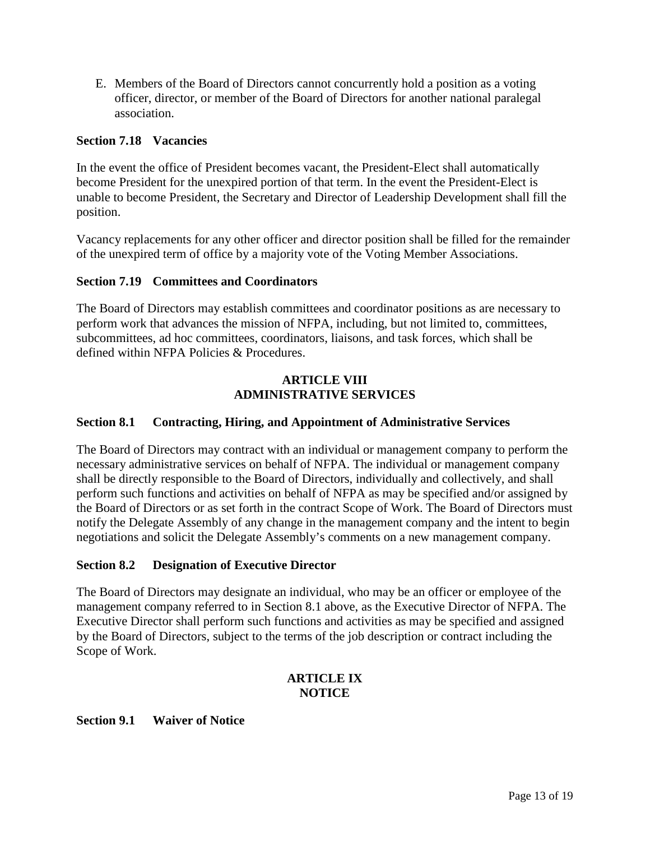E. Members of the Board of Directors cannot concurrently hold a position as a voting officer, director, or member of the Board of Directors for another national paralegal association.

### **Section 7.18 Vacancies**

In the event the office of President becomes vacant, the President-Elect shall automatically become President for the unexpired portion of that term. In the event the President-Elect is unable to become President, the Secretary and Director of Leadership Development shall fill the position.

Vacancy replacements for any other officer and director position shall be filled for the remainder of the unexpired term of office by a majority vote of the Voting Member Associations.

### **Section 7.19 Committees and Coordinators**

The Board of Directors may establish committees and coordinator positions as are necessary to perform work that advances the mission of NFPA, including, but not limited to, committees, subcommittees, ad hoc committees, coordinators, liaisons, and task forces, which shall be defined within NFPA Policies & Procedures.

### **ARTICLE VIII ADMINISTRATIVE SERVICES**

## **Section 8.1 Contracting, Hiring, and Appointment of Administrative Services**

The Board of Directors may contract with an individual or management company to perform the necessary administrative services on behalf of NFPA. The individual or management company shall be directly responsible to the Board of Directors, individually and collectively, and shall perform such functions and activities on behalf of NFPA as may be specified and/or assigned by the Board of Directors or as set forth in the contract Scope of Work. The Board of Directors must notify the Delegate Assembly of any change in the management company and the intent to begin negotiations and solicit the Delegate Assembly's comments on a new management company.

### **Section 8.2 Designation of Executive Director**

The Board of Directors may designate an individual, who may be an officer or employee of the management company referred to in Section 8.1 above, as the Executive Director of NFPA. The Executive Director shall perform such functions and activities as may be specified and assigned by the Board of Directors, subject to the terms of the job description or contract including the Scope of Work.

### **ARTICLE IX NOTICE**

### **Section 9.1 Waiver of Notice**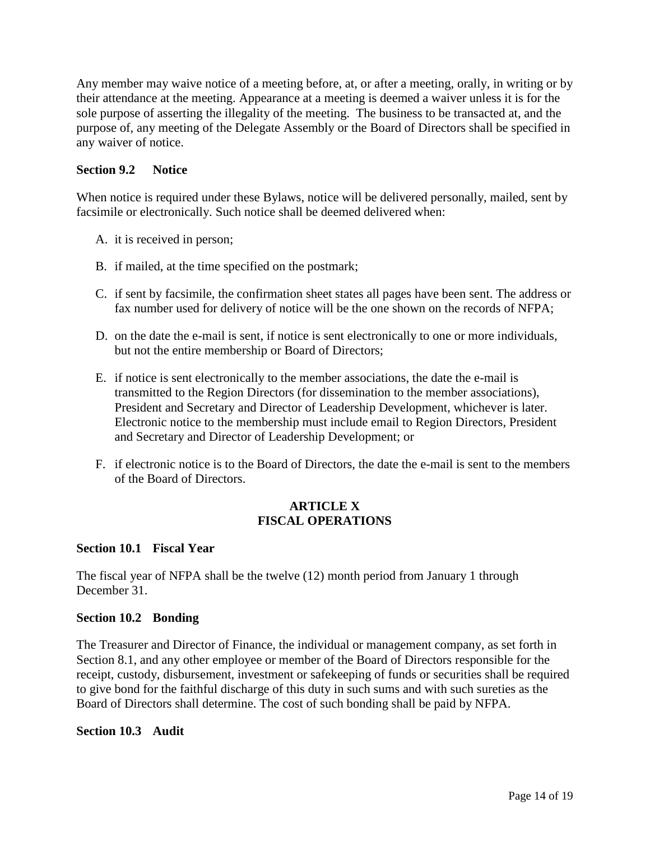Any member may waive notice of a meeting before, at, or after a meeting, orally, in writing or by their attendance at the meeting. Appearance at a meeting is deemed a waiver unless it is for the sole purpose of asserting the illegality of the meeting. The business to be transacted at, and the purpose of, any meeting of the Delegate Assembly or the Board of Directors shall be specified in any waiver of notice.

### **Section 9.2 Notice**

When notice is required under these Bylaws, notice will be delivered personally, mailed, sent by facsimile or electronically. Such notice shall be deemed delivered when:

- A. it is received in person;
- B. if mailed, at the time specified on the postmark;
- C. if sent by facsimile, the confirmation sheet states all pages have been sent. The address or fax number used for delivery of notice will be the one shown on the records of NFPA;
- D. on the date the e-mail is sent, if notice is sent electronically to one or more individuals, but not the entire membership or Board of Directors;
- E. if notice is sent electronically to the member associations, the date the e-mail is transmitted to the Region Directors (for dissemination to the member associations), President and Secretary and Director of Leadership Development, whichever is later. Electronic notice to the membership must include email to Region Directors, President and Secretary and Director of Leadership Development; or
- F. if electronic notice is to the Board of Directors, the date the e-mail is sent to the members of the Board of Directors.

### **ARTICLE X FISCAL OPERATIONS**

### **Section 10.1 Fiscal Year**

The fiscal year of NFPA shall be the twelve (12) month period from January 1 through December 31.

### **Section 10.2 Bonding**

The Treasurer and Director of Finance, the individual or management company, as set forth in Section 8.1, and any other employee or member of the Board of Directors responsible for the receipt, custody, disbursement, investment or safekeeping of funds or securities shall be required to give bond for the faithful discharge of this duty in such sums and with such sureties as the Board of Directors shall determine. The cost of such bonding shall be paid by NFPA.

### **Section 10.3 Audit**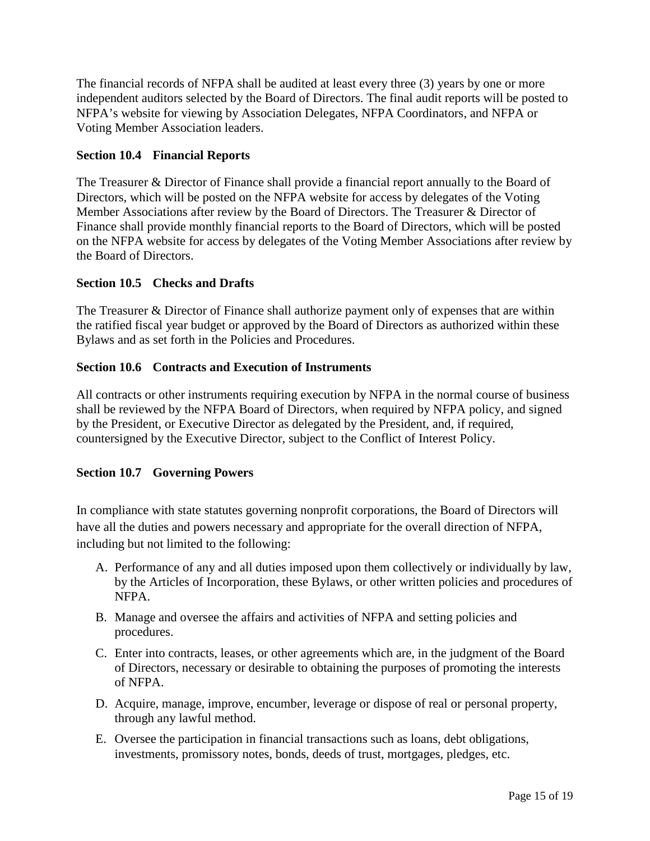The financial records of NFPA shall be audited at least every three (3) years by one or more independent auditors selected by the Board of Directors. The final audit reports will be posted to NFPA's website for viewing by Association Delegates, NFPA Coordinators, and NFPA or Voting Member Association leaders.

## **Section 10.4 Financial Reports**

The Treasurer & Director of Finance shall provide a financial report annually to the Board of Directors, which will be posted on the NFPA website for access by delegates of the Voting Member Associations after review by the Board of Directors. The Treasurer & Director of Finance shall provide monthly financial reports to the Board of Directors, which will be posted on the NFPA website for access by delegates of the Voting Member Associations after review by the Board of Directors.

## **Section 10.5 Checks and Drafts**

The Treasurer & Director of Finance shall authorize payment only of expenses that are within the ratified fiscal year budget or approved by the Board of Directors as authorized within these Bylaws and as set forth in the Policies and Procedures.

# **Section 10.6 Contracts and Execution of Instruments**

All contracts or other instruments requiring execution by NFPA in the normal course of business shall be reviewed by the NFPA Board of Directors, when required by NFPA policy, and signed by the President, or Executive Director as delegated by the President, and, if required, countersigned by the Executive Director, subject to the Conflict of Interest Policy.

## **Section 10.7 Governing Powers**

In compliance with state statutes governing nonprofit corporations, the Board of Directors will have all the duties and powers necessary and appropriate for the overall direction of NFPA, including but not limited to the following:

- A. Performance of any and all duties imposed upon them collectively or individually by law, by the Articles of Incorporation, these Bylaws, or other written policies and procedures of NFPA.
- B. Manage and oversee the affairs and activities of NFPA and setting policies and procedures.
- C. Enter into contracts, leases, or other agreements which are, in the judgment of the Board of Directors, necessary or desirable to obtaining the purposes of promoting the interests of NFPA.
- D. Acquire, manage, improve, encumber, leverage or dispose of real or personal property, through any lawful method.
- E. Oversee the participation in financial transactions such as loans, debt obligations, investments, promissory notes, bonds, deeds of trust, mortgages, pledges, etc.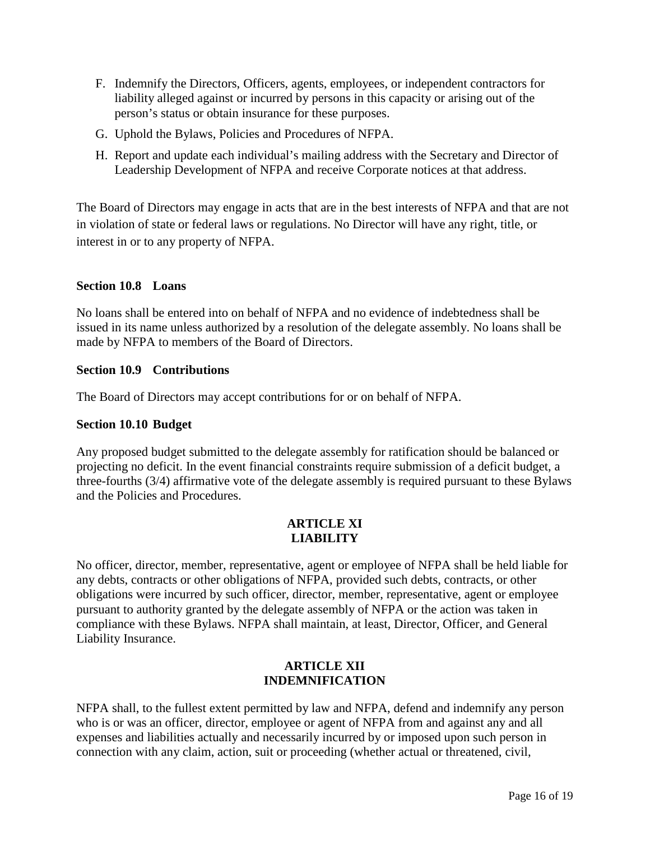- F. Indemnify the Directors, Officers, agents, employees, or independent contractors for liability alleged against or incurred by persons in this capacity or arising out of the person's status or obtain insurance for these purposes.
- G. Uphold the Bylaws, Policies and Procedures of NFPA.
- H. Report and update each individual's mailing address with the Secretary and Director of Leadership Development of NFPA and receive Corporate notices at that address.

The Board of Directors may engage in acts that are in the best interests of NFPA and that are not in violation of state or federal laws or regulations. No Director will have any right, title, or interest in or to any property of NFPA.

### **Section 10.8 Loans**

No loans shall be entered into on behalf of NFPA and no evidence of indebtedness shall be issued in its name unless authorized by a resolution of the delegate assembly. No loans shall be made by NFPA to members of the Board of Directors.

### **Section 10.9 Contributions**

The Board of Directors may accept contributions for or on behalf of NFPA.

### **Section 10.10 Budget**

Any proposed budget submitted to the delegate assembly for ratification should be balanced or projecting no deficit. In the event financial constraints require submission of a deficit budget, a three-fourths (3/4) affirmative vote of the delegate assembly is required pursuant to these Bylaws and the Policies and Procedures.

#### **ARTICLE XI LIABILITY**

No officer, director, member, representative, agent or employee of NFPA shall be held liable for any debts, contracts or other obligations of NFPA, provided such debts, contracts, or other obligations were incurred by such officer, director, member, representative, agent or employee pursuant to authority granted by the delegate assembly of NFPA or the action was taken in compliance with these Bylaws. NFPA shall maintain, at least, Director, Officer, and General Liability Insurance.

### **ARTICLE XII INDEMNIFICATION**

NFPA shall, to the fullest extent permitted by law and NFPA, defend and indemnify any person who is or was an officer, director, employee or agent of NFPA from and against any and all expenses and liabilities actually and necessarily incurred by or imposed upon such person in connection with any claim, action, suit or proceeding (whether actual or threatened, civil,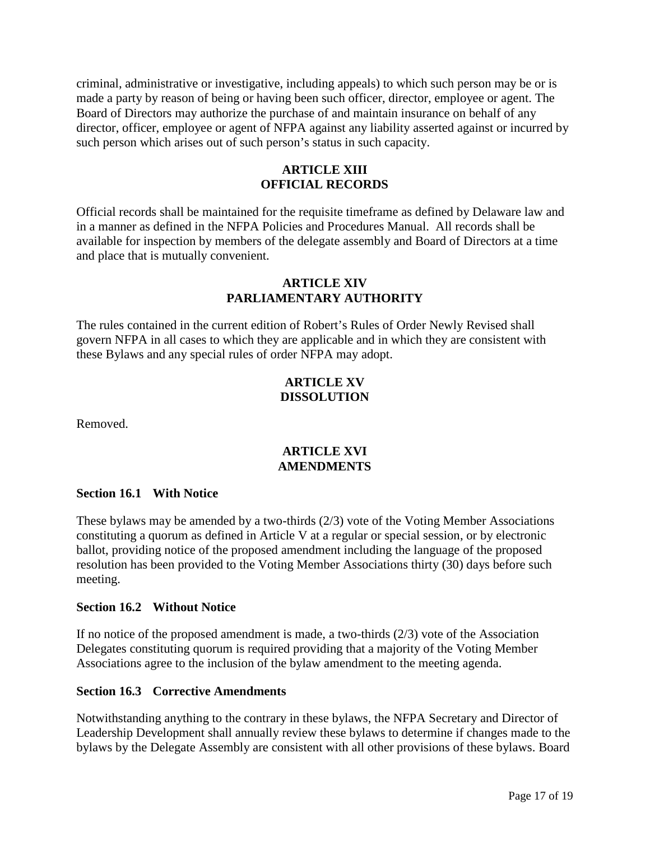criminal, administrative or investigative, including appeals) to which such person may be or is made a party by reason of being or having been such officer, director, employee or agent. The Board of Directors may authorize the purchase of and maintain insurance on behalf of any director, officer, employee or agent of NFPA against any liability asserted against or incurred by such person which arises out of such person's status in such capacity.

## **ARTICLE XIII OFFICIAL RECORDS**

Official records shall be maintained for the requisite timeframe as defined by Delaware law and in a manner as defined in the NFPA Policies and Procedures Manual. All records shall be available for inspection by members of the delegate assembly and Board of Directors at a time and place that is mutually convenient.

### **ARTICLE XIV PARLIAMENTARY AUTHORITY**

The rules contained in the current edition of Robert's Rules of Order Newly Revised shall govern NFPA in all cases to which they are applicable and in which they are consistent with these Bylaws and any special rules of order NFPA may adopt.

## **ARTICLE XV DISSOLUTION**

Removed.

## **ARTICLE XVI AMENDMENTS**

### **Section 16.1 With Notice**

These bylaws may be amended by a two-thirds (2/3) vote of the Voting Member Associations constituting a quorum as defined in Article V at a regular or special session, or by electronic ballot, providing notice of the proposed amendment including the language of the proposed resolution has been provided to the Voting Member Associations thirty (30) days before such meeting.

### **Section 16.2 Without Notice**

If no notice of the proposed amendment is made, a two-thirds (2/3) vote of the Association Delegates constituting quorum is required providing that a majority of the Voting Member Associations agree to the inclusion of the bylaw amendment to the meeting agenda.

### **Section 16.3 Corrective Amendments**

Notwithstanding anything to the contrary in these bylaws, the NFPA Secretary and Director of Leadership Development shall annually review these bylaws to determine if changes made to the bylaws by the Delegate Assembly are consistent with all other provisions of these bylaws. Board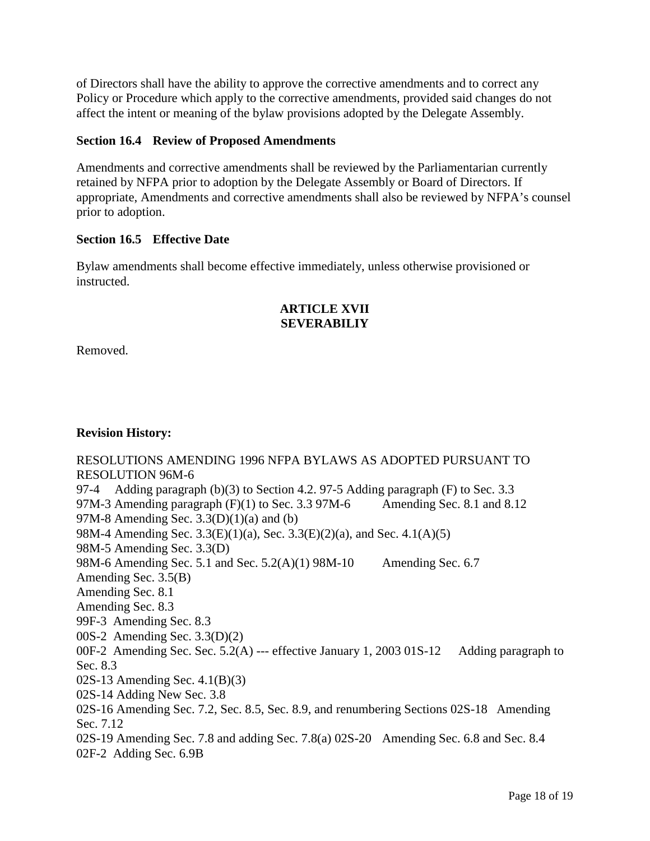of Directors shall have the ability to approve the corrective amendments and to correct any Policy or Procedure which apply to the corrective amendments, provided said changes do not affect the intent or meaning of the bylaw provisions adopted by the Delegate Assembly.

### **Section 16.4 Review of Proposed Amendments**

Amendments and corrective amendments shall be reviewed by the Parliamentarian currently retained by NFPA prior to adoption by the Delegate Assembly or Board of Directors. If appropriate, Amendments and corrective amendments shall also be reviewed by NFPA's counsel prior to adoption.

### **Section 16.5 Effective Date**

Bylaw amendments shall become effective immediately, unless otherwise provisioned or instructed.

## **ARTICLE XVII SEVERABILIY**

Removed.

## **Revision History:**

RESOLUTIONS AMENDING 1996 NFPA BYLAWS AS ADOPTED PURSUANT TO RESOLUTION 96M-6 97-4 Adding paragraph (b)(3) to Section 4.2. 97-5 Adding paragraph (F) to Sec. 3.3 97M-3 Amending paragraph  $(F)(1)$  to Sec. 3.3 97M-6 Amending Sec. 8.1 and 8.12 97M-8 Amending Sec. 3.3(D)(1)(a) and (b) 98M-4 Amending Sec. 3.3(E)(1)(a), Sec. 3.3(E)(2)(a), and Sec. 4.1(A)(5) 98M-5 Amending Sec. 3.3(D) 98M-6 Amending Sec. 5.1 and Sec.  $5.2(A)(1)$  98M-10 Amending Sec. 6.7 Amending Sec. 3.5(B) Amending Sec. 8.1 Amending Sec. 8.3 99F-3 Amending Sec. 8.3 00S-2 Amending Sec. 3.3(D)(2) 00F-2 Amending Sec. Sec. 5.2(A) --- effective January 1, 2003 01S-12 Adding paragraph to Sec. 8.3 02S-13 Amending Sec. 4.1(B)(3) 02S-14 Adding New Sec. 3.8 02S-16 Amending Sec. 7.2, Sec. 8.5, Sec. 8.9, and renumbering Sections 02S-18 Amending Sec. 7.12 02S-19 Amending Sec. 7.8 and adding Sec. 7.8(a) 02S-20 Amending Sec. 6.8 and Sec. 8.4 02F-2 Adding Sec. 6.9B